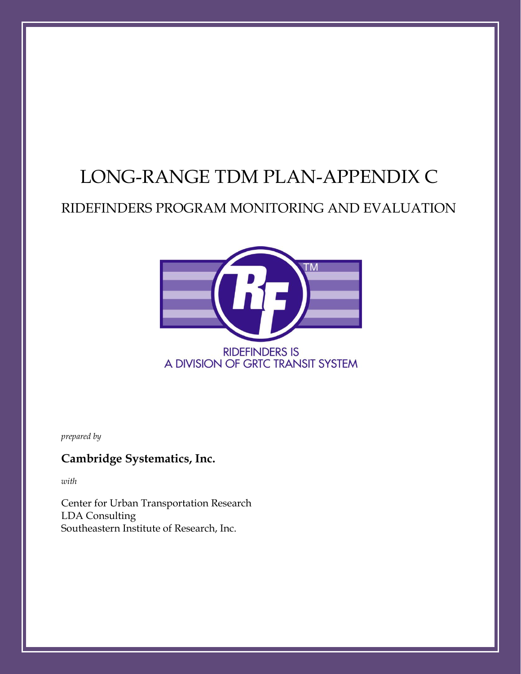## LONG-RANGE TDM PLAN-APPENDIX C

## RIDEFINDERS PROGRAM MONITORING AND EVALUATION



*prepared by*

### **Cambridge Systematics, Inc.**

*with*

Center for Urban Transportation Research LDA Consulting Southeastern Institute of Research, Inc.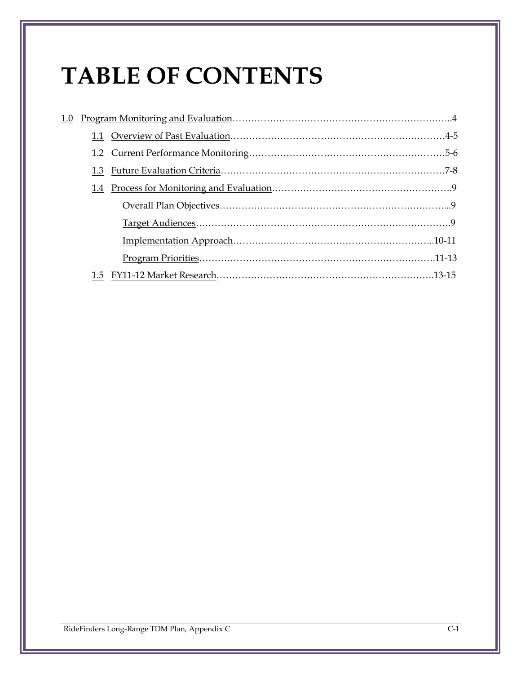# **TABLE OF CONTENTS**

| 1.0 |     |  |
|-----|-----|--|
|     |     |  |
|     |     |  |
|     | 1.3 |  |
|     | 1.4 |  |
|     |     |  |
|     |     |  |
|     |     |  |
|     |     |  |
|     |     |  |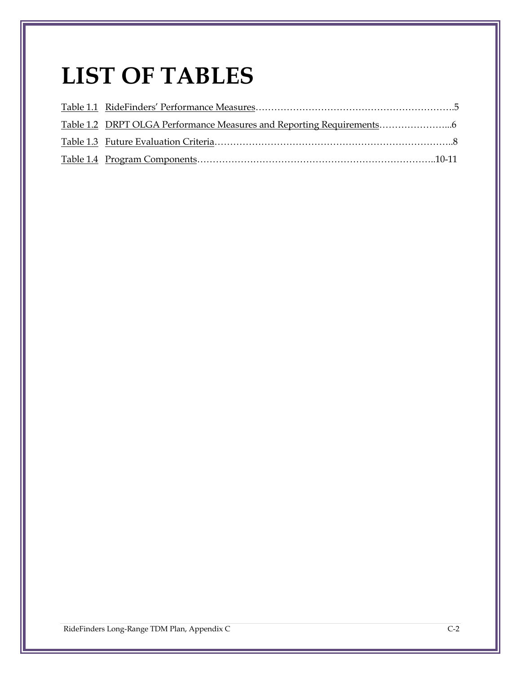## **LIST OF TABLES**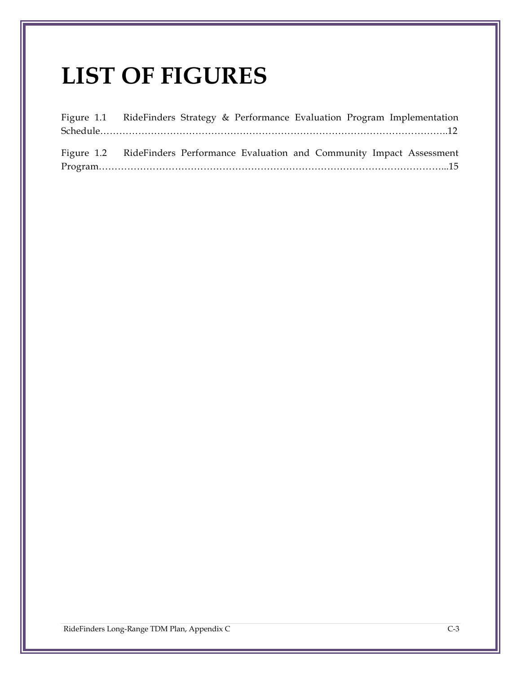## **LIST OF FIGURES**

|  |  |  | Figure 1.1 RideFinders Strategy & Performance Evaluation Program Implementation |
|--|--|--|---------------------------------------------------------------------------------|
|  |  |  |                                                                                 |
|  |  |  |                                                                                 |
|  |  |  | Figure 1.2 RideFinders Performance Evaluation and Community Impact Assessment   |
|  |  |  |                                                                                 |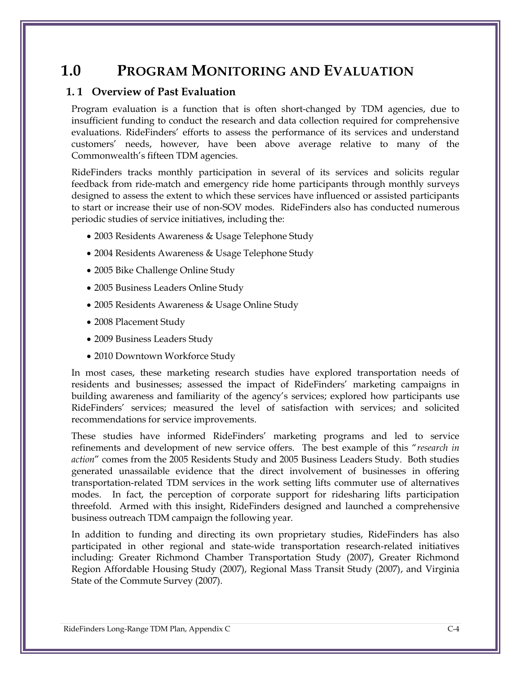## **1.0 PROGRAM MONITORING AND EVALUATION**

#### **1. 1 Overview of Past Evaluation**

Program evaluation is a function that is often short-changed by TDM agencies, due to insufficient funding to conduct the research and data collection required for comprehensive evaluations. RideFinders' efforts to assess the performance of its services and understand customers' needs, however, have been above average relative to many of the Commonwealth's fifteen TDM agencies.

RideFinders tracks monthly participation in several of its services and solicits regular feedback from ride-match and emergency ride home participants through monthly surveys designed to assess the extent to which these services have influenced or assisted participants to start or increase their use of non-SOV modes. RideFinders also has conducted numerous periodic studies of service initiatives, including the:

- 2003 Residents Awareness & Usage Telephone Study
- 2004 Residents Awareness & Usage Telephone Study
- 2005 Bike Challenge Online Study
- 2005 Business Leaders Online Study
- 2005 Residents Awareness & Usage Online Study
- 2008 Placement Study
- 2009 Business Leaders Study
- 2010 Downtown Workforce Study

In most cases, these marketing research studies have explored transportation needs of residents and businesses; assessed the impact of RideFinders' marketing campaigns in building awareness and familiarity of the agency's services; explored how participants use RideFinders' services; measured the level of satisfaction with services; and solicited recommendations for service improvements.

These studies have informed RideFinders' marketing programs and led to service refinements and development of new service offers. The best example of this "*research in action*" comes from the 2005 Residents Study and 2005 Business Leaders Study. Both studies generated unassailable evidence that the direct involvement of businesses in offering transportation-related TDM services in the work setting lifts commuter use of alternatives modes. In fact, the perception of corporate support for ridesharing lifts participation threefold. Armed with this insight, RideFinders designed and launched a comprehensive business outreach TDM campaign the following year.

In addition to funding and directing its own proprietary studies, RideFinders has also participated in other regional and state-wide transportation research-related initiatives including: Greater Richmond Chamber Transportation Study (2007), Greater Richmond Region Affordable Housing Study (2007), Regional Mass Transit Study (2007), and Virginia State of the Commute Survey (2007).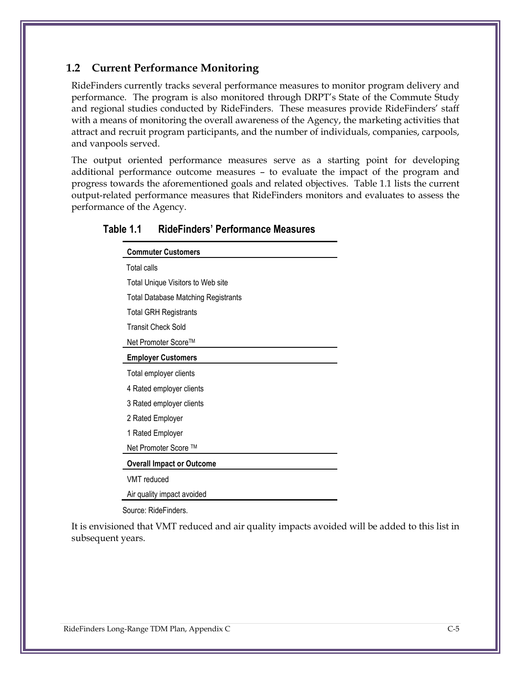#### **1.2 Current Performance Monitoring**

RideFinders currently tracks several performance measures to monitor program delivery and performance. The program is also monitored through DRPT's State of the Commute Study and regional studies conducted by RideFinders. These measures provide RideFinders' staff with a means of monitoring the overall awareness of the Agency, the marketing activities that attract and recruit program participants, and the number of individuals, companies, carpools, and vanpools served.

The output oriented performance measures serve as a starting point for developing additional performance outcome measures – to evaluate the impact of the program and progress towards the aforementioned goals and related objectives. Table 1.1 lists the current output-related performance measures that RideFinders monitors and evaluates to assess the performance of the Agency.

| <b>Commuter Customers</b>                  |  |  |  |
|--------------------------------------------|--|--|--|
| Total calls                                |  |  |  |
| Total Unique Visitors to Web site          |  |  |  |
| <b>Total Database Matching Registrants</b> |  |  |  |
| <b>Total GRH Registrants</b>               |  |  |  |
| <b>Transit Check Sold</b>                  |  |  |  |
| Net Promoter Score™                        |  |  |  |
| <b>Employer Customers</b>                  |  |  |  |
| Total employer clients                     |  |  |  |
| 4 Rated employer clients                   |  |  |  |
| 3 Rated employer clients                   |  |  |  |
| 2 Rated Employer                           |  |  |  |
| 1 Rated Employer                           |  |  |  |
| Net Promoter Score ™                       |  |  |  |
| <b>Overall Impact or Outcome</b>           |  |  |  |
| VMT reduced                                |  |  |  |
| Air quality impact avoided                 |  |  |  |
| Source: RideFinders.                       |  |  |  |

#### **Table 1.1 RideFinders' Performance Measures**

It is envisioned that VMT reduced and air quality impacts avoided will be added to this list in subsequent years.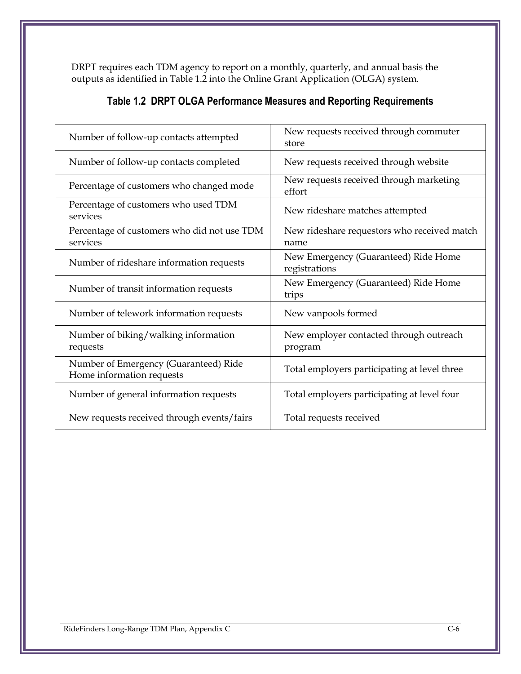DRPT requires each TDM agency to report on a monthly, quarterly, and annual basis the outputs as identified in Table 1.2 into the Online Grant Application (OLGA) system.

| Number of follow-up contacts attempted                             | New requests received through commuter<br>store       |  |  |
|--------------------------------------------------------------------|-------------------------------------------------------|--|--|
| Number of follow-up contacts completed                             | New requests received through website                 |  |  |
| Percentage of customers who changed mode                           | New requests received through marketing<br>effort     |  |  |
| Percentage of customers who used TDM<br>services                   | New rideshare matches attempted                       |  |  |
| Percentage of customers who did not use TDM<br>services            | New rideshare requestors who received match<br>name   |  |  |
| Number of rideshare information requests                           | New Emergency (Guaranteed) Ride Home<br>registrations |  |  |
| Number of transit information requests                             | New Emergency (Guaranteed) Ride Home<br>trips         |  |  |
| Number of telework information requests                            | New vanpools formed                                   |  |  |
| Number of biking/walking information<br>requests                   | New employer contacted through outreach<br>program    |  |  |
| Number of Emergency (Guaranteed) Ride<br>Home information requests | Total employers participating at level three          |  |  |
| Number of general information requests                             | Total employers participating at level four           |  |  |
| New requests received through events/fairs                         | Total requests received                               |  |  |

### **Table 1.2 DRPT OLGA Performance Measures and Reporting Requirements**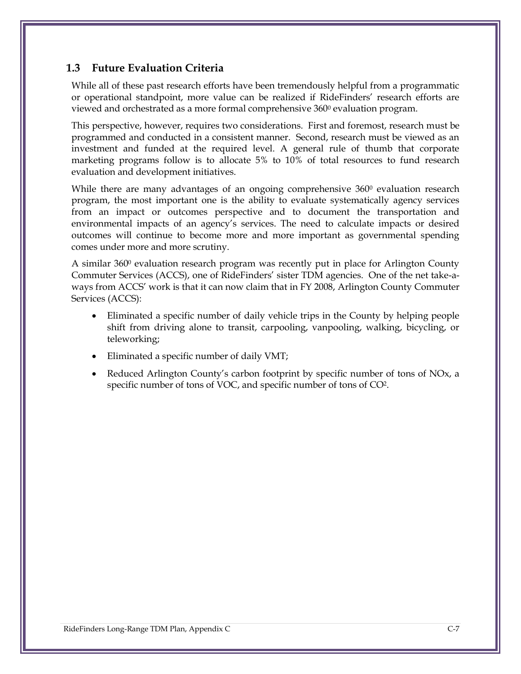#### **1.3 Future Evaluation Criteria**

While all of these past research efforts have been tremendously helpful from a programmatic or operational standpoint, more value can be realized if RideFinders' research efforts are viewed and orchestrated as a more formal comprehensive 360<sup>0</sup> evaluation program.

This perspective, however, requires two considerations. First and foremost, research must be programmed and conducted in a consistent manner. Second, research must be viewed as an investment and funded at the required level. A general rule of thumb that corporate marketing programs follow is to allocate 5% to 10% of total resources to fund research evaluation and development initiatives.

While there are many advantages of an ongoing comprehensive  $360^{\circ}$  evaluation research program, the most important one is the ability to evaluate systematically agency services from an impact or outcomes perspective and to document the transportation and environmental impacts of an agency's services. The need to calculate impacts or desired outcomes will continue to become more and more important as governmental spending comes under more and more scrutiny.

A similar 360<sup>0</sup> evaluation research program was recently put in place for Arlington County Commuter Services (ACCS), one of RideFinders' sister TDM agencies. One of the net take-aways from ACCS' work is that it can now claim that in FY 2008, Arlington County Commuter Services (ACCS):

- Eliminated a specific number of daily vehicle trips in the County by helping people shift from driving alone to transit, carpooling, vanpooling, walking, bicycling, or teleworking;
- Eliminated a specific number of daily VMT;
- Reduced Arlington County's carbon footprint by specific number of tons of NOx, a specific number of tons of VOC, and specific number of tons of CO2.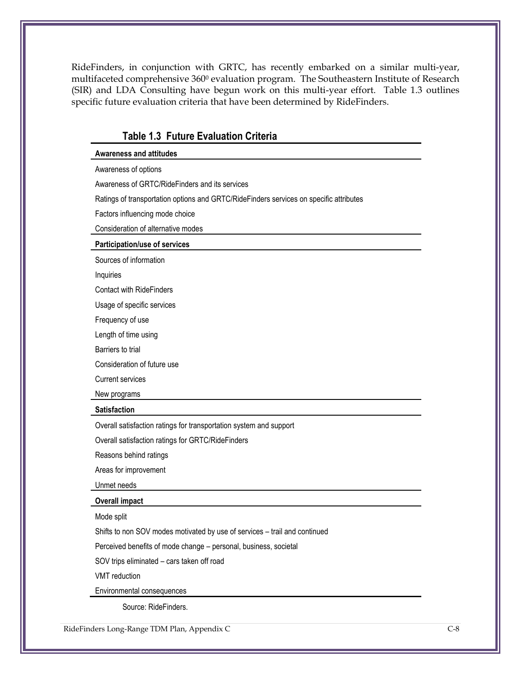RideFinders, in conjunction with GRTC, has recently embarked on a similar multi-year, multifaceted comprehensive 360<sup>0</sup> evaluation program. The Southeastern Institute of Research (SIR) and LDA Consulting have begun work on this multi-year effort. Table 1.3 outlines specific future evaluation criteria that have been determined by RideFinders.

| <b>Table 1.3 Future Evaluation Criteria</b>                                            |  |
|----------------------------------------------------------------------------------------|--|
| <b>Awareness and attitudes</b>                                                         |  |
| Awareness of options                                                                   |  |
| Awareness of GRTC/RideFinders and its services                                         |  |
| Ratings of transportation options and GRTC/RideFinders services on specific attributes |  |
| Factors influencing mode choice                                                        |  |
| Consideration of alternative modes                                                     |  |
| Participation/use of services                                                          |  |
| Sources of information                                                                 |  |
| Inquiries                                                                              |  |
| <b>Contact with RideFinders</b>                                                        |  |
| Usage of specific services                                                             |  |
| Frequency of use                                                                       |  |
| Length of time using                                                                   |  |
| Barriers to trial                                                                      |  |
| Consideration of future use                                                            |  |
| <b>Current services</b>                                                                |  |
| New programs                                                                           |  |
| <b>Satisfaction</b>                                                                    |  |
| Overall satisfaction ratings for transportation system and support                     |  |
| Overall satisfaction ratings for GRTC/RideFinders                                      |  |
| Reasons behind ratings                                                                 |  |
| Areas for improvement                                                                  |  |
| Unmet needs                                                                            |  |
| <b>Overall impact</b>                                                                  |  |
| Mode split                                                                             |  |
| Shifts to non SOV modes motivated by use of services - trail and continued             |  |
| Perceived benefits of mode change - personal, business, societal                       |  |
| SOV trips eliminated - cars taken off road                                             |  |
| VMT reduction                                                                          |  |
| Environmental consequences                                                             |  |
| Source: RideFinders.                                                                   |  |

RideFinders Long-Range TDM Plan, Appendix C C-8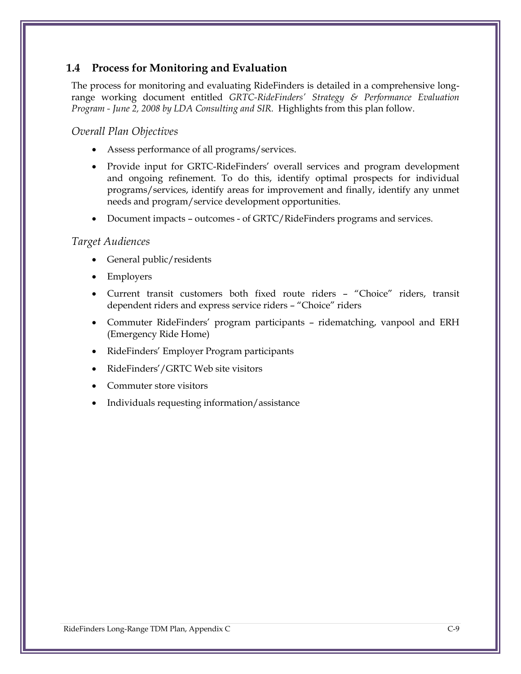#### **1.4 Process for Monitoring and Evaluation**

The process for monitoring and evaluating RideFinders is detailed in a comprehensive longrange working document entitled *GRTC-RideFinders' Strategy & Performance Evaluation Program - June 2, 2008 by LDA Consulting and SIR.* Highlights from this plan follow.

#### *Overall Plan Objectives*

- Assess performance of all programs/services.
- Provide input for GRTC-RideFinders' overall services and program development and ongoing refinement. To do this, identify optimal prospects for individual programs/services, identify areas for improvement and finally, identify any unmet needs and program/service development opportunities.
- Document impacts outcomes of GRTC/RideFinders programs and services.

#### *Target Audiences*

- General public/residents
- Employers
- Current transit customers both fixed route riders "Choice" riders, transit dependent riders and express service riders – "Choice" riders
- Commuter RideFinders' program participants ridematching, vanpool and ERH (Emergency Ride Home)
- RideFinders' Employer Program participants
- RideFinders'/GRTC Web site visitors
- Commuter store visitors
- Individuals requesting information/assistance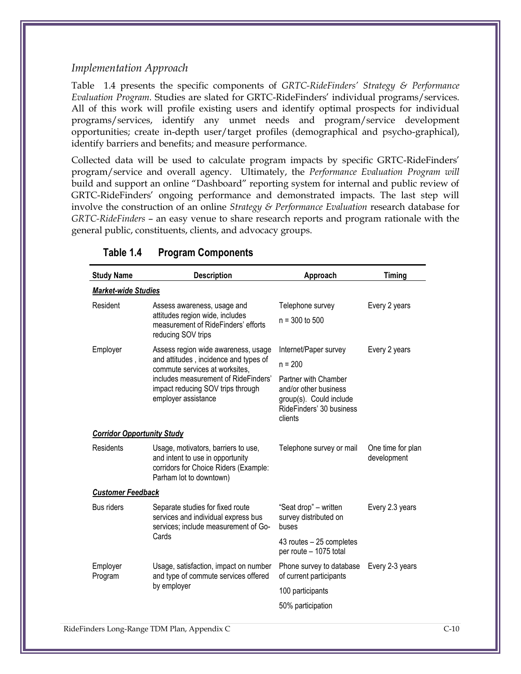#### *Implementation Approach*

[Table](#page-10-0) 1.4 presents the specific components of *GRTC-RideFinders' Strategy & Performance Evaluation Program.* Studies are slated for GRTC-RideFinders' individual programs/services. All of this work will profile existing users and identify optimal prospects for individual programs/services, identify any unmet needs and program/service development opportunities; create in-depth user/target profiles (demographical and psycho-graphical), identify barriers and benefits; and measure performance.

Collected data will be used to calculate program impacts by specific GRTC-RideFinders' program/service and overall agency. Ultimately, the *Performance Evaluation Program will*  build and support an online "Dashboard" reporting system for internal and public review of GRTC-RideFinders' ongoing performance and demonstrated impacts. The last step will involve the construction of an online *Strategy & Performance Evaluation* research database for *GRTC-RideFinders* – an easy venue to share research reports and program rationale with the general public, constituents, clients, and advocacy groups.

<span id="page-10-0"></span>

| <b>Study Name</b>                 | <b>Description</b>                                                                                                                          | Approach                                                                                                        | <b>Timing</b>                    |  |  |  |  |
|-----------------------------------|---------------------------------------------------------------------------------------------------------------------------------------------|-----------------------------------------------------------------------------------------------------------------|----------------------------------|--|--|--|--|
| <b>Market-wide Studies</b>        |                                                                                                                                             |                                                                                                                 |                                  |  |  |  |  |
| Resident                          | Assess awareness, usage and                                                                                                                 | Telephone survey                                                                                                | Every 2 years                    |  |  |  |  |
|                                   | attitudes region wide, includes<br>measurement of RideFinders' efforts<br>reducing SOV trips                                                | $n = 300$ to 500                                                                                                |                                  |  |  |  |  |
| Employer                          | Assess region wide awareness, usage                                                                                                         | Internet/Paper survey                                                                                           | Every 2 years                    |  |  |  |  |
|                                   | and attitudes, incidence and types of<br>commute services at worksites,                                                                     | $n = 200$                                                                                                       |                                  |  |  |  |  |
|                                   | includes measurement of RideFinders'<br>impact reducing SOV trips through<br>employer assistance                                            | Partner with Chamber<br>and/or other business<br>group(s). Could include<br>RideFinders' 30 business<br>clients |                                  |  |  |  |  |
| <b>Corridor Opportunity Study</b> |                                                                                                                                             |                                                                                                                 |                                  |  |  |  |  |
| Residents                         | Usage, motivators, barriers to use,<br>and intent to use in opportunity<br>corridors for Choice Riders (Example:<br>Parham lot to downtown) | Telephone survey or mail                                                                                        | One time for plan<br>development |  |  |  |  |
| <b>Customer Feedback</b>          |                                                                                                                                             |                                                                                                                 |                                  |  |  |  |  |
| <b>Bus riders</b>                 | Separate studies for fixed route<br>services and individual express bus<br>services; include measurement of Go-                             | "Seat drop" – written<br>survey distributed on<br>buses                                                         | Every 2.3 years                  |  |  |  |  |
|                                   | Cards                                                                                                                                       | 43 routes - 25 completes<br>per route - 1075 total                                                              |                                  |  |  |  |  |
| Employer<br>Program               | Usage, satisfaction, impact on number<br>and type of commute services offered                                                               | Phone survey to database<br>of current participants                                                             | Every 2-3 years                  |  |  |  |  |
|                                   | by employer                                                                                                                                 | 100 participants                                                                                                |                                  |  |  |  |  |
|                                   |                                                                                                                                             | 50% participation                                                                                               |                                  |  |  |  |  |
|                                   |                                                                                                                                             |                                                                                                                 |                                  |  |  |  |  |

#### **Table 1.4 Program Components**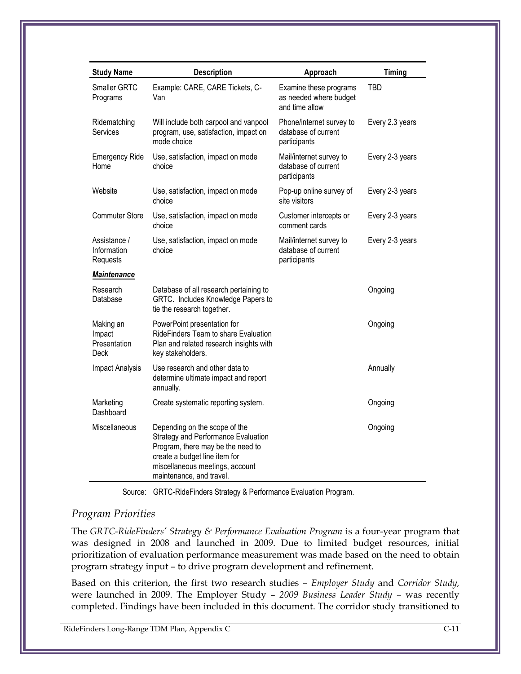| <b>Study Name</b>                           | <b>Description</b>                                                                                                                                                                                        | Approach                                                           | <b>Timing</b>   |
|---------------------------------------------|-----------------------------------------------------------------------------------------------------------------------------------------------------------------------------------------------------------|--------------------------------------------------------------------|-----------------|
| Smaller GRTC<br>Programs                    | Example: CARE, CARE Tickets, C-<br>Van                                                                                                                                                                    | Examine these programs<br>as needed where budget<br>and time allow | TBD             |
| Ridematching<br>Services                    | Will include both carpool and vanpool<br>program, use, satisfaction, impact on<br>mode choice                                                                                                             | Phone/internet survey to<br>database of current<br>participants    | Every 2.3 years |
| <b>Emergency Ride</b><br>Home               | Use, satisfaction, impact on mode<br>choice                                                                                                                                                               | Mail/internet survey to<br>database of current<br>participants     | Every 2-3 years |
| Website                                     | Use, satisfaction, impact on mode<br>choice                                                                                                                                                               | Pop-up online survey of<br>site visitors                           | Every 2-3 years |
| <b>Commuter Store</b>                       | Use, satisfaction, impact on mode<br>choice                                                                                                                                                               | Customer intercepts or<br>comment cards                            | Every 2-3 years |
| Assistance /<br>Information<br>Requests     | Use, satisfaction, impact on mode<br>choice                                                                                                                                                               | Mail/internet survey to<br>database of current<br>participants     | Every 2-3 years |
| Maintenance                                 |                                                                                                                                                                                                           |                                                                    |                 |
| Research<br>Database                        | Database of all research pertaining to<br>GRTC. Includes Knowledge Papers to<br>tie the research together.                                                                                                |                                                                    | Ongoing         |
| Making an<br>Impact<br>Presentation<br>Deck | PowerPoint presentation for<br>RideFinders Team to share Evaluation<br>Plan and related research insights with<br>key stakeholders.                                                                       |                                                                    | Ongoing         |
| <b>Impact Analysis</b>                      | Use research and other data to<br>determine ultimate impact and report<br>annually.                                                                                                                       |                                                                    | Annually        |
| Marketing<br>Dashboard                      | Create systematic reporting system.                                                                                                                                                                       |                                                                    | Ongoing         |
| Miscellaneous                               | Depending on the scope of the<br>Strategy and Performance Evaluation<br>Program, there may be the need to<br>create a budget line item for<br>miscellaneous meetings, account<br>maintenance, and travel. |                                                                    | Ongoing         |

Source: GRTC-RideFinders Strategy & Performance Evaluation Program.

#### *Program Priorities*

The *GRTC-RideFinders' Strategy & Performance Evaluation Program* is a four-year program that was designed in 2008 and launched in 2009. Due to limited budget resources, initial prioritization of evaluation performance measurement was made based on the need to obtain program strategy input – to drive program development and refinement.

Based on this criterion, the first two research studies – *Employer Study* and *Corridor Study,*  were launched in 2009. The Employer Study – *2009 Business Leader Study –* was recently completed. Findings have been included in this document. The corridor study transitioned to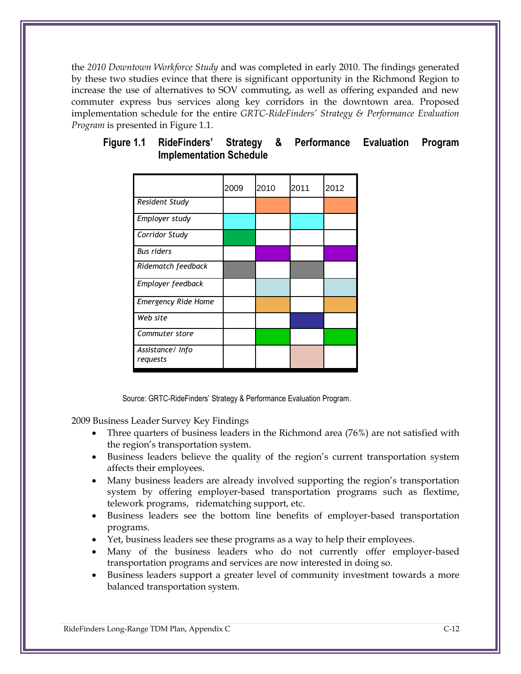the *2010 Downtown Workforce Study* and was completed in early 2010. The findings generated by these two studies evince that there is significant opportunity in the Richmond Region to increase the use of alternatives to SOV commuting, as well as offering expanded and new commuter express bus services along key corridors in the downtown area. Proposed implementation schedule for the entire *GRTC-RideFinders' Strategy & Performance Evaluation Program* is presented in Figure 1.1.

|                               | 2009 | 2010 | 2011 | 2012 |
|-------------------------------|------|------|------|------|
| Resident Study                |      |      |      |      |
| Employer study                |      |      |      |      |
| Corridor Study                |      |      |      |      |
| <b>Bus riders</b>             |      |      |      |      |
| Ridematch feedback            |      |      |      |      |
| Employer feedback             |      |      |      |      |
| <b>Emergency Ride Home</b>    |      |      |      |      |
| Web site                      |      |      |      |      |
| Commuter store                |      |      |      |      |
| Assistance / Info<br>requests |      |      |      |      |

#### **Figure 1.1 RideFinders' Strategy & Performance Evaluation Program Implementation Schedule**

Source: GRTC-RideFinders' Strategy & Performance Evaluation Program.

2009 Business Leader Survey Key Findings

- Three quarters of business leaders in the Richmond area (76%) are not satisfied with the region's transportation system.
- Business leaders believe the quality of the region's current transportation system affects their employees.
- Many business leaders are already involved supporting the region's transportation system by offering employer-based transportation programs such as flextime, telework programs, ridematching support, etc.
- Business leaders see the bottom line benefits of employer-based transportation programs.
- Yet, business leaders see these programs as a way to help their employees.
- Many of the business leaders who do not currently offer employer-based transportation programs and services are now interested in doing so.
- Business leaders support a greater level of community investment towards a more balanced transportation system.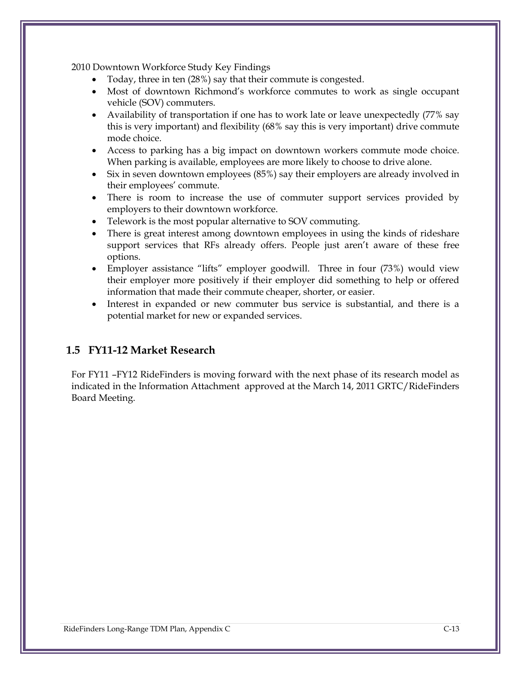2010 Downtown Workforce Study Key Findings

- Today, three in ten (28%) say that their commute is congested.
- Most of downtown Richmond's workforce commutes to work as single occupant vehicle (SOV) commuters.
- Availability of transportation if one has to work late or leave unexpectedly (77% say this is very important) and flexibility (68% say this is very important) drive commute mode choice.
- Access to parking has a big impact on downtown workers commute mode choice. When parking is available, employees are more likely to choose to drive alone.
- Six in seven downtown employees (85%) say their employers are already involved in their employees' commute.
- There is room to increase the use of commuter support services provided by employers to their downtown workforce.
- Telework is the most popular alternative to SOV commuting.
- There is great interest among downtown employees in using the kinds of rideshare support services that RFs already offers. People just aren't aware of these free options.
- Employer assistance "lifts" employer goodwill. Three in four (73%) would view their employer more positively if their employer did something to help or offered information that made their commute cheaper, shorter, or easier.
- Interest in expanded or new commuter bus service is substantial, and there is a potential market for new or expanded services.

#### **1.5 FY11-12 Market Research**

For FY11 –FY12 RideFinders is moving forward with the next phase of its research model as indicated in the Information Attachment approved at the March 14, 2011 GRTC/RideFinders Board Meeting.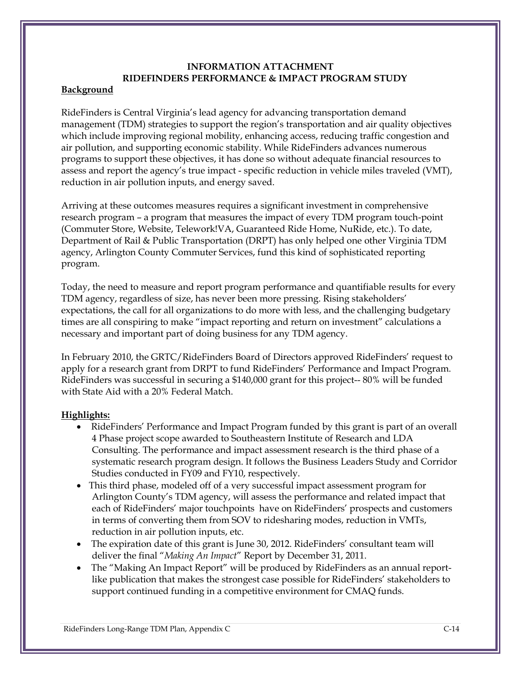### **INFORMATION ATTACHMENT RIDEFINDERS PERFORMANCE & IMPACT PROGRAM STUDY**

#### **Background**

RideFinders is Central Virginia's lead agency for advancing transportation demand management (TDM) strategies to support the region's transportation and air quality objectives which include improving regional mobility, enhancing access, reducing traffic congestion and air pollution, and supporting economic stability. While RideFinders advances numerous programs to support these objectives, it has done so without adequate financial resources to assess and report the agency's true impact - specific reduction in vehicle miles traveled (VMT), reduction in air pollution inputs, and energy saved.

Arriving at these outcomes measures requires a significant investment in comprehensive research program – a program that measures the impact of every TDM program touch-point (Commuter Store, Website, Telework!VA, Guaranteed Ride Home, NuRide, etc.). To date, Department of Rail & Public Transportation (DRPT) has only helped one other Virginia TDM agency, Arlington County Commuter Services, fund this kind of sophisticated reporting program.

Today, the need to measure and report program performance and quantifiable results for every TDM agency, regardless of size, has never been more pressing. Rising stakeholders' expectations, the call for all organizations to do more with less, and the challenging budgetary times are all conspiring to make "impact reporting and return on investment" calculations a necessary and important part of doing business for any TDM agency.

In February 2010, the GRTC/RideFinders Board of Directors approved RideFinders' request to apply for a research grant from DRPT to fund RideFinders' Performance and Impact Program. RideFinders was successful in securing a \$140,000 grant for this project-- 80% will be funded with State Aid with a 20% Federal Match.

#### **Highlights:**

- RideFinders' Performance and Impact Program funded by this grant is part of an overall 4 Phase project scope awarded to Southeastern Institute of Research and LDA Consulting. The performance and impact assessment research is the third phase of a systematic research program design. It follows the Business Leaders Study and Corridor Studies conducted in FY09 and FY10, respectively.
- This third phase, modeled off of a very successful impact assessment program for Arlington County's TDM agency, will assess the performance and related impact that each of RideFinders' major touchpoints have on RideFinders' prospects and customers in terms of converting them from SOV to ridesharing modes, reduction in VMTs, reduction in air pollution inputs, etc.
- The expiration date of this grant is June 30, 2012. RideFinders' consultant team will deliver the final "*Making An Impact*" Report by December 31, 2011.
- The "Making An Impact Report" will be produced by RideFinders as an annual reportlike publication that makes the strongest case possible for RideFinders' stakeholders to support continued funding in a competitive environment for CMAQ funds.